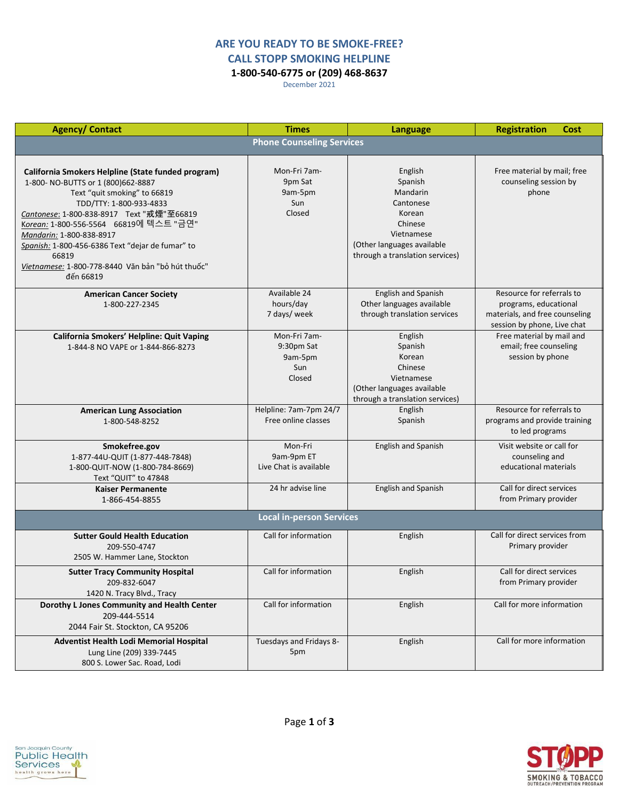## **ARE YOU READY TO BE SMOKE-FREE? CALL STOPP SMOKING HELPLINE**

**1-800-540-6775 or (209) 468-8637**

December 2021

| <b>Agency/ Contact</b>                                                                                                                                                                                                                                                                                                                                                                               | <b>Times</b>                                           | Language                                                                                                                                        | <b>Registration</b><br>Cost                                                                                         |
|------------------------------------------------------------------------------------------------------------------------------------------------------------------------------------------------------------------------------------------------------------------------------------------------------------------------------------------------------------------------------------------------------|--------------------------------------------------------|-------------------------------------------------------------------------------------------------------------------------------------------------|---------------------------------------------------------------------------------------------------------------------|
|                                                                                                                                                                                                                                                                                                                                                                                                      | <b>Phone Counseling Services</b>                       |                                                                                                                                                 |                                                                                                                     |
| California Smokers Helpline (State funded program)<br>1-800-NO-BUTTS or 1 (800)662-8887<br>Text "quit smoking" to 66819<br>TDD/TTY: 1-800-933-4833<br>Cantonese: 1-800-838-8917 Text "戒煙"至66819<br>Korean: 1-800-556-5564 66819에 텍스트 "금연"<br>Mandarin: 1-800-838-8917<br>Spanish: 1-800-456-6386 Text "dejar de fumar" to<br>66819<br>Vietnamese: 1-800-778-8440 Văn bản "bỏ hút thuốc"<br>đến 66819 | Mon-Fri 7am-<br>9pm Sat<br>9am-5pm<br>Sun<br>Closed    | English<br>Spanish<br>Mandarin<br>Cantonese<br>Korean<br>Chinese<br>Vietnamese<br>(Other languages available<br>through a translation services) | Free material by mail; free<br>counseling session by<br>phone                                                       |
| <b>American Cancer Society</b><br>1-800-227-2345                                                                                                                                                                                                                                                                                                                                                     | Available 24<br>hours/day<br>7 days/ week              | English and Spanish<br>Other languages available<br>through translation services                                                                | Resource for referrals to<br>programs, educational<br>materials, and free counseling<br>session by phone, Live chat |
| California Smokers' Helpline: Quit Vaping<br>1-844-8 NO VAPE or 1-844-866-8273                                                                                                                                                                                                                                                                                                                       | Mon-Fri 7am-<br>9:30pm Sat<br>9am-5pm<br>Sun<br>Closed | English<br>Spanish<br>Korean<br>Chinese<br>Vietnamese<br>(Other languages available<br>through a translation services)                          | Free material by mail and<br>email; free counseling<br>session by phone                                             |
| <b>American Lung Association</b><br>1-800-548-8252                                                                                                                                                                                                                                                                                                                                                   | Helpline: 7am-7pm 24/7<br>Free online classes          | English<br>Spanish                                                                                                                              | Resource for referrals to<br>programs and provide training<br>to led programs                                       |
| Smokefree.gov<br>1-877-44U-QUIT (1-877-448-7848)<br>1-800-QUIT-NOW (1-800-784-8669)<br>Text "QUIT" to 47848                                                                                                                                                                                                                                                                                          | Mon-Fri<br>9am-9pm ET<br>Live Chat is available        | English and Spanish                                                                                                                             | Visit website or call for<br>counseling and<br>educational materials                                                |
| <b>Kaiser Permanente</b><br>1-866-454-8855                                                                                                                                                                                                                                                                                                                                                           | 24 hr advise line                                      | <b>English and Spanish</b>                                                                                                                      | Call for direct services<br>from Primary provider                                                                   |
|                                                                                                                                                                                                                                                                                                                                                                                                      | <b>Local in-person Services</b>                        |                                                                                                                                                 |                                                                                                                     |
| <b>Sutter Gould Health Education</b><br>209-550-4747<br>2505 W. Hammer Lane, Stockton                                                                                                                                                                                                                                                                                                                | Call for information                                   | English                                                                                                                                         | Call for direct services from<br>Primary provider                                                                   |
| <b>Sutter Tracy Community Hospital</b><br>209-832-6047<br>1420 N. Tracy Blvd., Tracy                                                                                                                                                                                                                                                                                                                 | Call for information                                   | English                                                                                                                                         | Call for direct services<br>from Primary provider                                                                   |
| Dorothy L Jones Community and Health Center<br>209-444-5514<br>2044 Fair St. Stockton, CA 95206                                                                                                                                                                                                                                                                                                      | Call for information                                   | English                                                                                                                                         | Call for more information                                                                                           |
| Adventist Health Lodi Memorial Hospital<br>Lung Line (209) 339-7445<br>800 S. Lower Sac. Road, Lodi                                                                                                                                                                                                                                                                                                  | Tuesdays and Fridays 8-<br>5pm                         | English                                                                                                                                         | Call for more information                                                                                           |

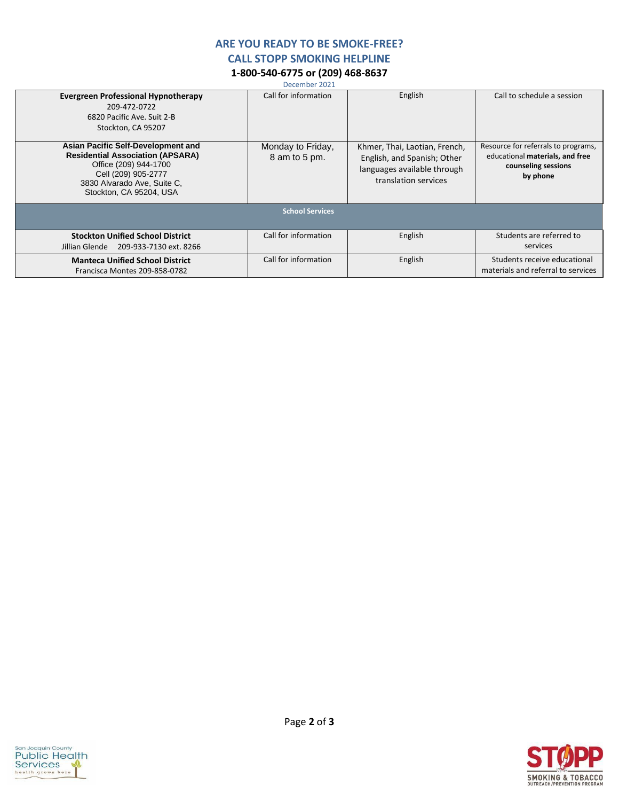## **ARE YOU READY TO BE SMOKE-FREE?**

**CALL STOPP SMOKING HELPLINE**

## **1-800-540-6775 or (209) 468-8637**

December 2021

| <b>Evergreen Professional Hypnotherapy</b><br>209-472-0722<br>6820 Pacific Ave. Suit 2-B<br>Stockton, CA 95207                                                                          | Call for information               | English                                                                                                             | Call to schedule a session                                                                                |
|-----------------------------------------------------------------------------------------------------------------------------------------------------------------------------------------|------------------------------------|---------------------------------------------------------------------------------------------------------------------|-----------------------------------------------------------------------------------------------------------|
| Asian Pacific Self-Development and<br><b>Residential Association (APSARA)</b><br>Office (209) 944-1700<br>Cell (209) 905-2777<br>3830 Alvarado Ave, Suite C.<br>Stockton, CA 95204, USA | Monday to Friday,<br>8 am to 5 pm. | Khmer, Thai, Laotian, French,<br>English, and Spanish; Other<br>languages available through<br>translation services | Resource for referrals to programs,<br>educational materials, and free<br>counseling sessions<br>by phone |
|                                                                                                                                                                                         | <b>School Services</b>             |                                                                                                                     |                                                                                                           |
| <b>Stockton Unified School District</b><br>Jillian Glende<br>209-933-7130 ext. 8266                                                                                                     | Call for information               | English                                                                                                             | Students are referred to<br>services                                                                      |
| <b>Manteca Unified School District</b><br>Francisca Montes 209-858-0782                                                                                                                 | Call for information               | English                                                                                                             | Students receive educational<br>materials and referral to services                                        |